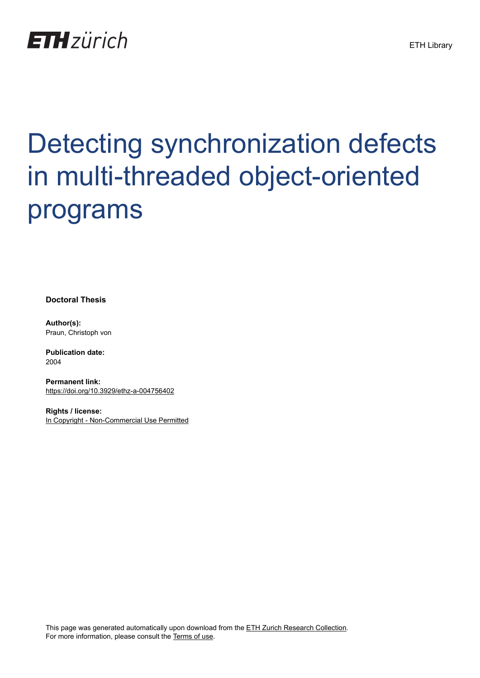

## Detecting synchronization defects in multi-threaded object-oriented programs

**Doctoral Thesis**

**Author(s):** Praun, Christoph von

**Publication date:** 2004

**Permanent link:** <https://doi.org/10.3929/ethz-a-004756402>

**Rights / license:** [In Copyright - Non-Commercial Use Permitted](http://rightsstatements.org/page/InC-NC/1.0/)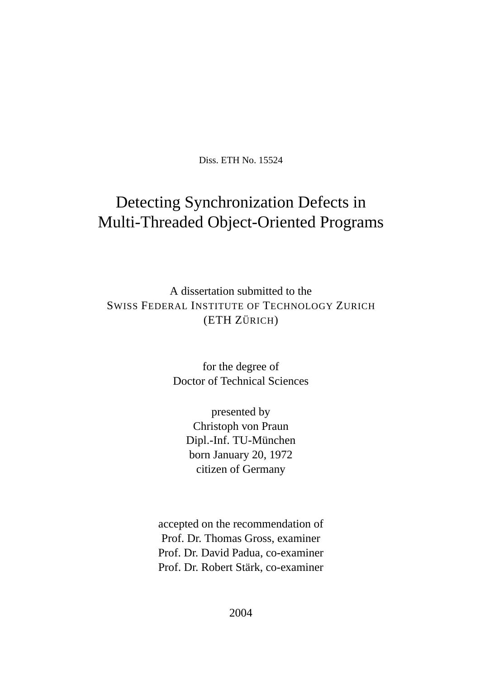Diss. ETH No. 15524

## Detecting Synchronization Defects in Multi-Threaded Object-Oriented Programs

A dissertation submitted to the SWISS FEDERAL INSTITUTE OF TECHNOLOGY ZURICH (ETH ZÜRICH)

> for the degree of Doctor of Technical Sciences

presented by Christoph von Praun Dipl.-Inf. TU-München born January 20, 1972 citizen of Germany

accepted on the recommendation of Prof. Dr. Thomas Gross, examiner Prof. Dr. David Padua, co-examiner Prof. Dr. Robert Stärk, co-examiner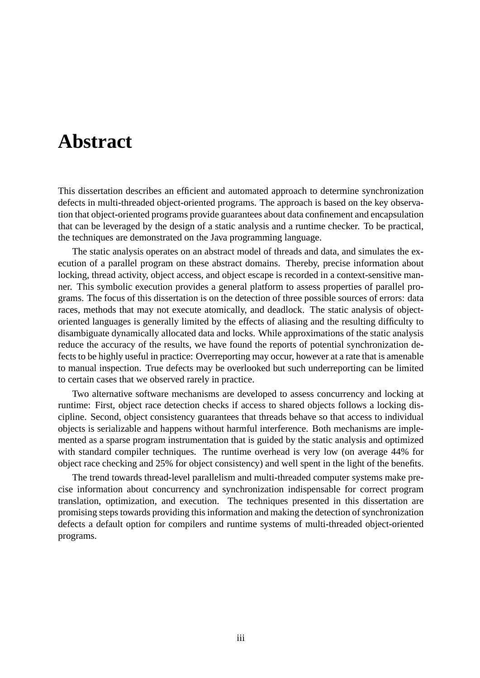## **Abstract**

This dissertation describes an efficient and automated approach to determine synchronization defects in multi-threaded object-oriented programs. The approach is based on the key observation that object-oriented programs provide guarantees about data confinement and encapsulation that can be leveraged by the design of a static analysis and a runtime checker. To be practical, the techniques are demonstrated on the Java programming language.

The static analysis operates on an abstract model of threads and data, and simulates the execution of a parallel program on these abstract domains. Thereby, precise information about locking, thread activity, object access, and object escape is recorded in a context-sensitive manner. This symbolic execution provides a general platform to assess properties of parallel programs. The focus of this dissertation is on the detection of three possible sources of errors: data races, methods that may not execute atomically, and deadlock. The static analysis of objectoriented languages is generally limited by the effects of aliasing and the resulting difficulty to disambiguate dynamically allocated data and locks. While approximations of the static analysis reduce the accuracy of the results, we have found the reports of potential synchronization defects to be highly useful in practice: Overreporting may occur, however at a rate that is amenable to manual inspection. True defects may be overlooked but such underreporting can be limited to certain cases that we observed rarely in practice.

Two alternative software mechanisms are developed to assess concurrency and locking at runtime: First, object race detection checks if access to shared objects follows a locking discipline. Second, object consistency guarantees that threads behave so that access to individual objects is serializable and happens without harmful interference. Both mechanisms are implemented as a sparse program instrumentation that is guided by the static analysis and optimized with standard compiler techniques. The runtime overhead is very low (on average 44% for object race checking and 25% for object consistency) and well spent in the light of the benefits.

The trend towards thread-level parallelism and multi-threaded computer systems make precise information about concurrency and synchronization indispensable for correct program translation, optimization, and execution. The techniques presented in this dissertation are promising steps towards providing this information and making the detection of synchronization defects a default option for compilers and runtime systems of multi-threaded object-oriented programs.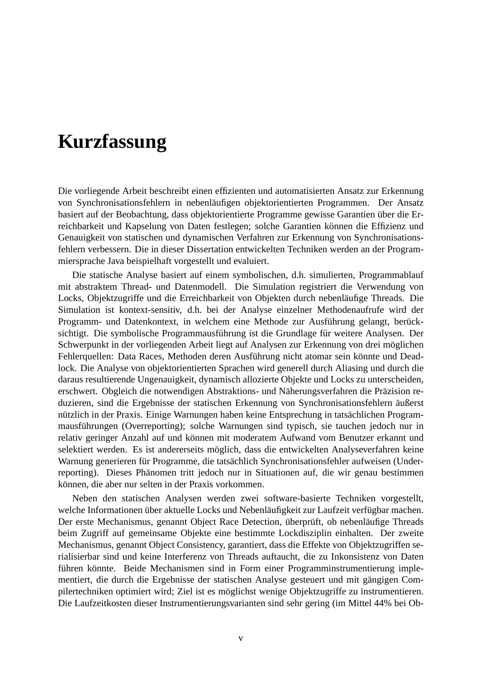## **Kurzfassung**

Die vorliegende Arbeit beschreibt einen effizienten und automatisierten Ansatz zur Erkennung von Synchronisationsfehlern in nebenläufigen objektorientierten Programmen. Der Ansatz basiert auf der Beobachtung, dass objektorientierte Programme gewisse Garantien über die Erreichbarkeit und Kapselung von Daten festlegen; solche Garantien können die Effizienz und Genauigkeit von statischen und dynamischen Verfahren zur Erkennung von Synchronisationsfehlern verbessern. Die in dieser Dissertation entwickelten Techniken werden an der Programmiersprache Java beispielhaft vorgestellt und evaluiert.

Die statische Analyse basiert auf einem symbolischen, d.h. simulierten, Programmablauf mit abstraktem Thread- und Datenmodell. Die Simulation registriert die Verwendung von Locks, Objektzugriffe und die Erreichbarkeit von Objekten durch nebenlaufige Threads. Die ¨ Simulation ist kontext-sensitiv, d.h. bei der Analyse einzelner Methodenaufrufe wird der Programm- und Datenkontext, in welchem eine Methode zur Ausführung gelangt, berücksichtigt. Die symbolische Programmausführung ist die Grundlage für weitere Analysen. Der Schwerpunkt in der vorliegenden Arbeit liegt auf Analysen zur Erkennung von drei möglichen Fehlerquellen: Data Races, Methoden deren Ausführung nicht atomar sein könnte und Deadlock. Die Analyse von objektorientierten Sprachen wird generell durch Aliasing und durch die daraus resultierende Ungenauigkeit, dynamisch allozierte Objekte und Locks zu unterscheiden, erschwert. Obgleich die notwendigen Abstraktions- und Näherungsverfahren die Präzision reduzieren, sind die Ergebnisse der statischen Erkennung von Synchronisationsfehlern äußerst nützlich in der Praxis. Einige Warnungen haben keine Entsprechung in tatsächlichen Programmausführungen (Overreporting); solche Warnungen sind typisch, sie tauchen jedoch nur in relativ geringer Anzahl auf und können mit moderatem Aufwand vom Benutzer erkannt und selektiert werden. Es ist andererseits möglich, dass die entwickelten Analyseverfahren keine Warnung generieren für Programme, die tatsächlich Synchronisationsfehler aufweisen (Underreporting). Dieses Phänomen tritt jedoch nur in Situationen auf, die wir genau bestimmen können, die aber nur selten in der Praxis vorkommen.

Neben den statischen Analysen werden zwei software-basierte Techniken vorgestellt, welche Informationen über aktuelle Locks und Nebenläufigkeit zur Laufzeit verfügbar machen. Der erste Mechanismus, genannt Object Race Detection, überprüft, ob nebenläufige Threads beim Zugriff auf gemeinsame Objekte eine bestimmte Lockdisziplin einhalten. Der zweite Mechanismus, genannt Object Consistency, garantiert, dass die Effekte von Objektzugriffen serialisierbar sind und keine Interferenz von Threads auftaucht, die zu Inkonsistenz von Daten führen könnte. Beide Mechanismen sind in Form einer Programminstrumentierung implementiert, die durch die Ergebnisse der statischen Analyse gesteuert und mit gängigen Compilertechniken optimiert wird; Ziel ist es möglichst wenige Objektzugriffe zu instrumentieren. Die Laufzeitkosten dieser Instrumentierungsvarianten sind sehr gering (im Mittel 44% bei Ob